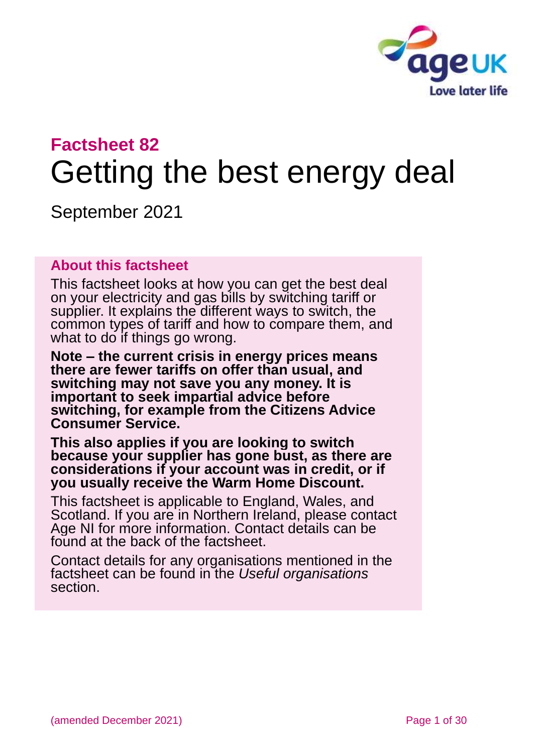

# **Factsheet 82** Getting the best energy deal

September 2021

### **About this factsheet**

This factsheet looks at how you can get the best deal on your electricity and gas bills by switching tariff or supplier. It explains the different ways to switch, the common types of tariff and how to compare them, and what to do if things go wrong.

**Note – the current crisis in energy prices means there are fewer tariffs on offer than usual, and switching may not save you any money. It is important to seek impartial advice before switching, for example from the Citizens Advice Consumer Service.** 

**This also applies if you are looking to switch because your supplier has gone bust, as there are considerations if your account was in credit, or if you usually receive the Warm Home Discount.**

This factsheet is applicable to England, Wales, and Scotland. If you are in Northern Ireland, please contact [Age NI](#page-28-0) for more information. Contact details can be found at the back of the factsheet.

Contact details for any organisations mentioned in the factsheet can be found in the *Useful [organisations](#page-26-0)* section.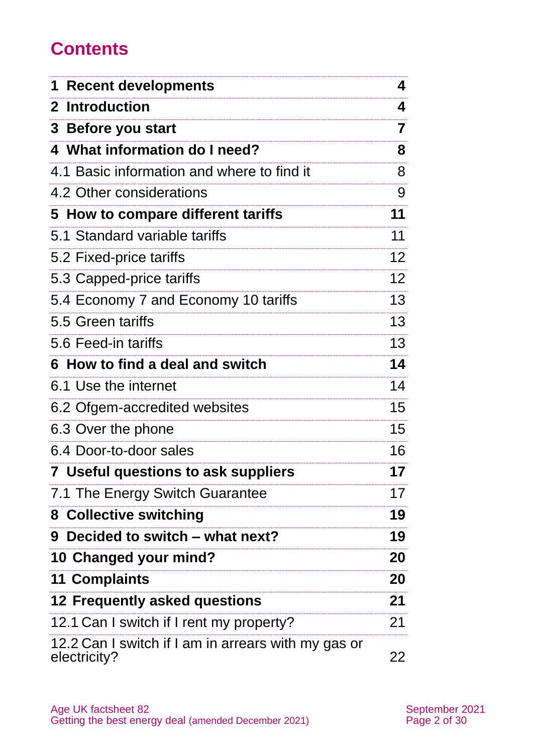# **Contents**

| <b>Recent developments</b>                                          | 4               |
|---------------------------------------------------------------------|-----------------|
| 2 Introduction                                                      | 4               |
| 3 Before you start                                                  | 7               |
| 4 What information do I need?                                       | 8               |
| 4.1 Basic information and where to find it                          | 8               |
| 4.2 Other considerations                                            | 9               |
| 5 How to compare different tariffs                                  | 11              |
| 5.1 Standard variable tariffs                                       | 11              |
| 5.2 Fixed-price tariffs                                             | 12 <sub>2</sub> |
| 5.3 Capped-price tariffs                                            | 12 <sup>°</sup> |
| 5.4 Economy 7 and Economy 10 tariffs                                | 13              |
| 5.5 Green tariffs                                                   | 13              |
| 5.6 Feed-in tariffs                                                 | 13              |
| 6 How to find a deal and switch                                     | 14              |
| 6.1 Use the internet                                                | 14              |
| 6.2 Ofgem-accredited websites                                       | 15 <sub>1</sub> |
| 6.3 Over the phone                                                  | 15              |
| 6.4 Door-to-door sales                                              | 16              |
| <b>7</b> Useful questions to ask suppliers                          | 17              |
| 7.1 The Energy Switch Guarantee                                     | 17              |
| 8 Collective switching                                              | 19              |
| 9 Decided to switch – what next?                                    | 19              |
| 10 Changed your mind?                                               | 20              |
| <b>11 Complaints</b>                                                | 20              |
| <b>12 Frequently asked questions</b>                                | 21              |
| 12.1 Can I switch if I rent my property?                            | 21              |
| 12.2 Can I switch if I am in arrears with my gas or<br>electricity? | 22              |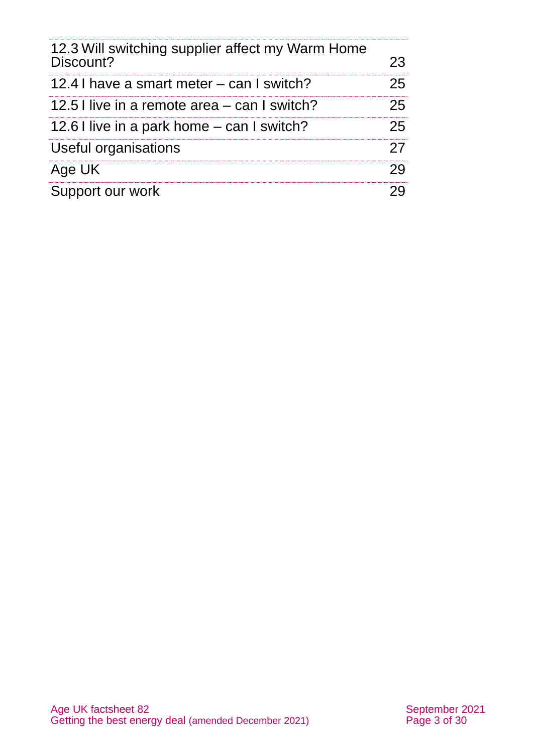| 12.3 Will switching supplier affect my Warm Home |    |
|--------------------------------------------------|----|
| Discount?                                        | 23 |
| 12.4 I have a smart meter – can I switch?        | 25 |
| 12.5 I live in a remote area – can I switch?     | 25 |
| 12.6 I live in a park home – can I switch?       | 25 |
| Useful organisations                             | 27 |
| Age UK                                           | 29 |
| Support our work                                 |    |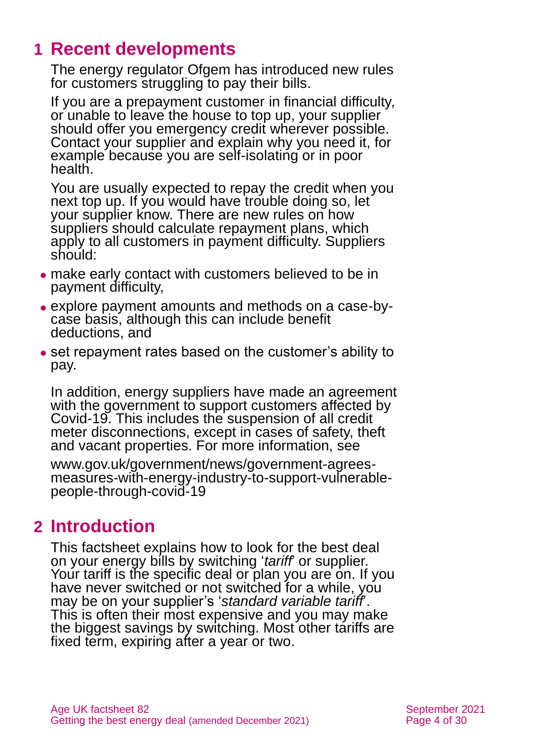# <span id="page-3-0"></span>**1 Recent developments**

The energy regulator Ofgem has introduced new rules for customers struggling to pay their bills.

If you are a prepayment customer in financial difficulty, or unable to leave the house to top up, your supplier should offer you emergency credit wherever possible. Contact your supplier and explain why you need it, for example because you are self-isolating or in poor health.

You are usually expected to repay the credit when you next top up. If you would have trouble doing so, let your supplier know. There are new rules on how suppliers should calculate repayment plans, which apply to all customers in payment difficulty. Suppliers should:

- ⚫ make early contact with customers believed to be in payment difficulty,
- ⚫ explore payment amounts and methods on a case-bycase basis, although this can include benefit deductions, and
- ⚫ set repayment rates based on the customer's ability to pay.

In addition, energy suppliers have made an agreement with the government to support customers affected by Covid-19. This includes the suspension of all credit meter disconnections, except in cases of safety, theft and vacant properties. For more information, see

[www.gov.uk/government/news/government-agrees](http://www.gov.uk/government/news/government-agrees-measures-with-energy-industry-to-support-vulnerable-people-through-covid-19)[measures-with-energy-industry-to-support-vulnerable](http://www.gov.uk/government/news/government-agrees-measures-with-energy-industry-to-support-vulnerable-people-through-covid-19)[people-through-covid-19](http://www.gov.uk/government/news/government-agrees-measures-with-energy-industry-to-support-vulnerable-people-through-covid-19)

# <span id="page-3-1"></span>**2 Introduction**

This factsheet explains how to look for the best deal on your energy bills by switching '*tariff*' or supplier. Your tariff is the specific deal or plan you are on. If you have never switched or not switched for a while, you may be on your supplier's '*standard variable tariff*'. This is often their most expensive and you may make the biggest savings by switching. Most other tariffs are fixed term, expiring after a year or two.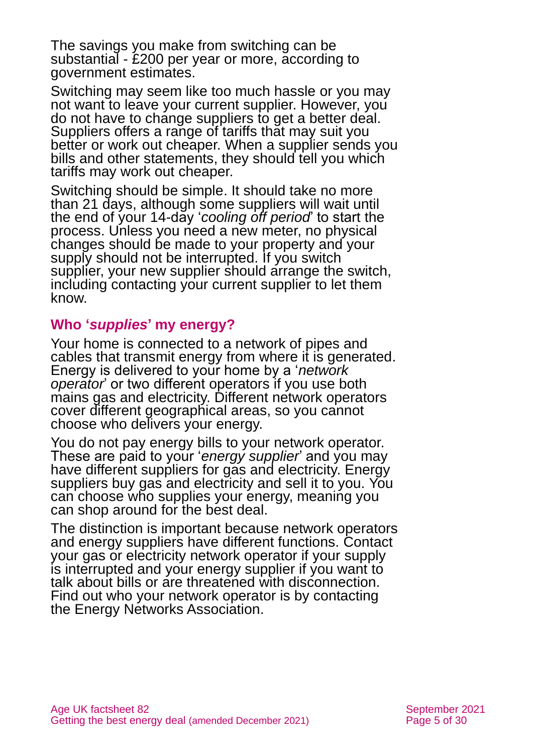The savings you make from switching can be substantial - £200 per year or more, according to government estimates.

Switching may seem like too much hassle or you may not want to leave your current supplier. However, you do not have to change suppliers to get a better deal. Suppliers offers a range of tariffs that may suit you better or work out cheaper. When a supplier sends you bills and other statements, they should tell you which tariffs may work out cheaper.

Switching should be simple. It should take no more than 21 days, although some suppliers will wait until the end of your 14-day '*cooling off period*' to start the process. Unless you need a new meter, no physical changes should be made to your property and your supply should not be interrupted. If you switch supplier, your new supplier should arrange the switch, including contacting your current supplier to let them know.

### **Who '***supplies***' my energy?**

Your home is connected to a network of pipes and cables that transmit energy from where it is generated. Energy is delivered to your home by a '*network operator*' or two different operators if you use both mains gas and electricity. Different network operators cover different geographical areas, so you cannot choose who delivers your energy.

You do not pay energy bills to your network operator. These are paid to your '*energy supplier*' and you may have different suppliers for gas and electricity. Energy suppliers buy gas and electricity and sell it to you. You can choose who supplies your energy, meaning you can shop around for the best deal.

The distinction is important because network operators and energy suppliers have different functions. Contact your gas or electricity network operator if your supply is interrupted and your energy supplier if you want to talk about bills or are threatened with disconnection. Find out who your network operator is by contacting the [Energy Networks Association.](http://www.energynetworks.org/)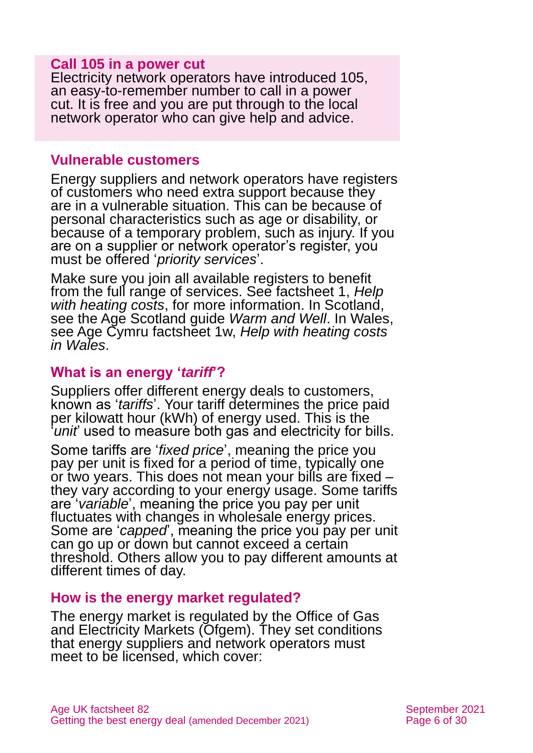#### **Call 105 in a power cut**

Electricity network operators have introduced 105, an easy-to-remember number to call in a power cut. It is free and you are put through to the local network operator who can give help and advice.

#### **Vulnerable customers**

Energy suppliers and network operators have registers of customers who need extra support because they are in a vulnerable situation. This can be because of personal characteristics such as age or disability, or because of a temporary problem, such as injury. If you are on a supplier or network operator's register, you must be offered '*priority services*'.

Make sure you join all available registers to benefit from the full range of services. See factsheet 1, *[Help](https://www.ageuk.org.uk/globalassets/age-uk/documents/factsheets/fs1_help_with_heating_costs_fcs.pdf)  [with heating costs](https://www.ageuk.org.uk/globalassets/age-uk/documents/factsheets/fs1_help_with_heating_costs_fcs.pdf)*, for more information. In Scotland, see the Age Scotland guide *[Warm and Well](https://www.ageuk.org.uk/scotland/information-advice/housing-and-energy/energy/)*. In Wales, see Age Cymru factsheet 1w, *[Help with heating costs](https://www.ageuk.org.uk/globalassets/age-cymru/documents/information-guides-and-factsheets/fs1w.pdf)  [in Wales](https://www.ageuk.org.uk/globalassets/age-cymru/documents/information-guides-and-factsheets/fs1w.pdf)*.

### **What is an energy '***tariff***'?**

Suppliers offer different energy deals to customers, known as '*tariffs*'. Your tariff determines the price paid per kilowatt hour (kWh) of energy used. This is the *unit* used to measure both gas and electricity for bills.

Some tariffs are '*fixed price*', meaning the price you pay per unit is fixed for a period of time, typically one or two years. This does not mean your bills are fixed – they vary according to your energy usage. Some tariffs are '*variable*', meaning the price you pay per unit fluctuates with changes in wholesale energy prices. Some are '*capped*', meaning the price you pay per unit can go up or down but cannot exceed a certain threshold. Others allow you to pay different amounts at different times of day.

#### **How is the energy market regulated?**

The energy market is regulated by the Office of Gas and Electricity Markets (Ofgem). They set conditions that energy suppliers and network operators must meet to be licensed, which cover: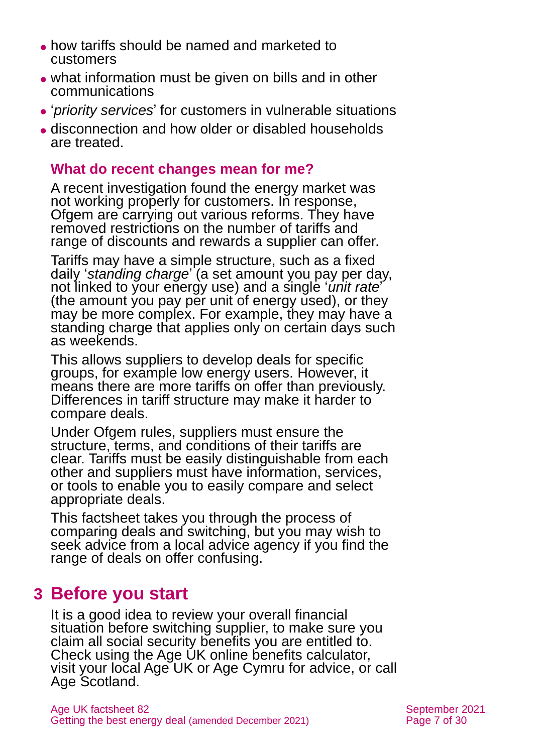- ⚫ how tariffs should be named and marketed to customers
- ⚫ what information must be given on bills and in other communications
- ⚫ '*priority services*' for customers in vulnerable situations
- ⚫ disconnection and how older or disabled households are treated.

### **What do recent changes mean for me?**

A recent investigation found the energy market was not working properly for customers. In response, Ofgem are carrying out various reforms. They have removed restrictions on the number of tariffs and range of discounts and rewards a supplier can offer.

Tariffs may have a simple structure, such as a fixed daily '*standing charge*' (a set amount you pay per day, not linked to your energy use) and a single '*unit rate*' (the amount you pay per unit of energy used), or they may be more complex. For example, they may have a standing charge that applies only on certain days such as weekends.

This allows suppliers to develop deals for specific groups, for example low energy users. However, it means there are more tariffs on offer than previously. Differences in tariff structure may make it harder to compare deals.

Under Ofgem rules, suppliers must ensure the structure, terms, and conditions of their tariffs are clear. Tariffs must be easily distinguishable from each other and suppliers must have information, services, or tools to enable you to easily compare and select appropriate deals.

This factsheet takes you through the process of comparing deals and switching, but you may wish to seek advice from a local advice agency if you find the range of deals on offer confusing.

# <span id="page-6-0"></span>**3 Before you start**

It is a good idea to review your overall financial situation before switching supplier, to make sure you claim all social security benefits you are entitled to. Check using the Age UK online [benefits calculator,](http://www.ageuk.org.uk/money-matters/claiming-benefits/benefits-calculator/) visit your local [Age UK or Age Cymru](#page-28-1) for advice, or call [Age Scotland.](#page-28-3)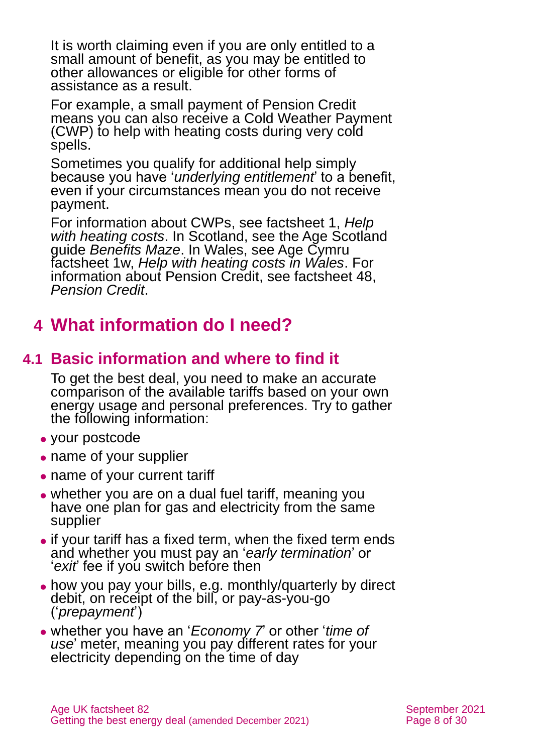It is worth claiming even if you are only entitled to a small amount of benefit, as you may be entitled to other allowances or eligible for other forms of assistance as a result.

For example, a small payment of Pension Credit means you can also receive a Cold Weather Payment (CWP) to help with heating costs during very cold spells.

Sometimes you qualify for additional help simply because you have '*underlying entitlement*' to a benefit, even if your circumstances mean you do not receive payment.

For information about CWPs, see factsheet 1, *[Help](https://www.ageuk.org.uk/globalassets/age-uk/documents/factsheets/fs1_help_with_heating_costs_fcs.pdf)  [with heating costs](https://www.ageuk.org.uk/globalassets/age-uk/documents/factsheets/fs1_help_with_heating_costs_fcs.pdf)*. In Scotland, see the Age Scotland guide *[Benefits Maze](https://www.ageuk.org.uk/scotland/information-advice/money-matters/benefits/)*. In Wales, see Age Cymru factsheet 1w, *[Help with heating costs in Wales](https://www.ageuk.org.uk/globalassets/age-cymru/documents/information-guides-and-factsheets/fs1w.pdf)*. For information about Pension Credit, see factsheet 48, *[Pension Credit](https://www.ageuk.org.uk/globalassets/age-uk/documents/factsheets/fs48_pension_credit_fcs.pdf)*.

# <span id="page-7-0"></span>**4 What information do I need?**

# **4.1 Basic information and where to find it**

To get the best deal, you need to make an accurate comparison of the available tariffs based on your own energy usage and personal preferences. Try to gather the following information:

- ⚫ your postcode
- ⚫ name of your supplier
- name of your current tariff
- whether you are on a dual fuel tariff, meaning you have one plan for gas and electricity from the same supplier
- if your tariff has a fixed term, when the fixed term ends and whether you must pay an '*early termination*' or '*exit*' fee if you switch before then
- ⚫ how you pay your bills, e.g. monthly/quarterly by direct debit, on receipt of the bill, or pay-as-you-go ('*prepayment*')
- ⚫ whether you have an '*Economy 7*' or other '*time of use*' meter, meaning you pay different rates for your electricity depending on the time of day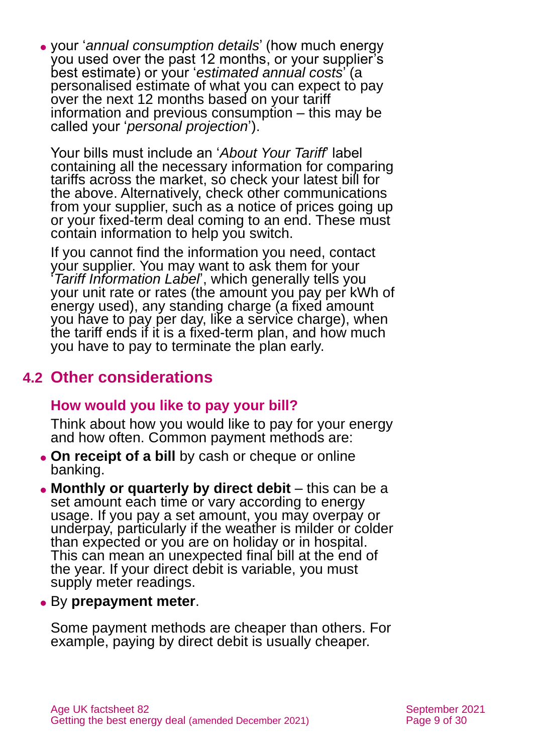⚫ your '*annual consumption details*' (how much energy you used over the past 12 months, or your supplier's best estimate) or your '*estimated annual costs*' (a personalised estimate of what you can expect to pay over the next 12 months based on your tariff information and previous consumption – this may be called your '*personal projection*').

Your bills must include an '*About Your Tariff*' label containing all the necessary information for comparing tariffs across the market, so check your latest bill for the above. Alternatively, check other communications from your supplier, such as a notice of prices going up or your fixed-term deal coming to an end. These must contain information to help you switch.

If you cannot find the information you need, contact your supplier. You may want to ask them for your '*Tariff Information Label*', which generally tells you your unit rate or rates (the amount you pay per kWh of energy used), any standing charge (a fixed amount you have to pay per day, like a service charge), when the tariff ends if it is a fixed-term plan, and how much you have to pay to terminate the plan early.

## **4.2 Other considerations**

### **How would you like to pay your bill?**

Think about how you would like to pay for your energy and how often. Common payment methods are:

- ⚫ **On receipt of a bill** by cash or cheque or online banking.
- ⚫ **Monthly or quarterly by direct debit** this can be a set amount each time or vary according to energy usage. If you pay a set amount, you may overpay or underpay, particularly if the weather is milder or colder than expected or you are on holiday or in hospital. This can mean an unexpected final bill at the end of the year. If your direct debit is variable, you must supply meter readings.
- ⚫ By **prepayment meter**.

Some payment methods are cheaper than others. For example, paying by direct debit is usually cheaper.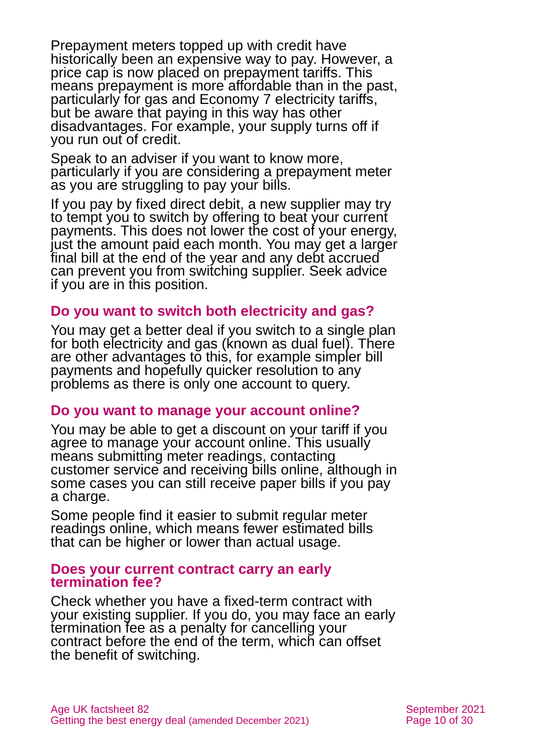Prepayment meters topped up with credit have historically been an expensive way to pay. However, a price cap is now placed on prepayment tariffs. This means prepayment is more affordable than in the past, particularly for gas and Economy 7 electricity tariffs, but be aware that paying in this way has other disadvantages. For example, your supply turns off if you run out of credit.

Speak to an adviser if you want to know more, particularly if you are considering a prepayment meter as you are struggling to pay your bills.

If you pay by fixed direct debit, a new supplier may try to tempt you to switch by offering to beat your current payments. This does not lower the cost of your energy, just the amount paid each month. You may get a larger final bill at the end of the year and any debt accrued can prevent you from switching supplier. Seek advice if you are in this position.

#### **Do you want to switch both electricity and gas?**

You may get a better deal if you switch to a single plan for both electricity and gas (known as dual fuel). There are other advantages to this, for example simpler bill payments and hopefully quicker resolution to any problems as there is only one account to query.

### **Do you want to manage your account online?**

You may be able to get a discount on your tariff if you agree to manage your account online. This usually means submitting meter readings, contacting customer service and receiving bills online, although in some cases you can still receive paper bills if you pay a charge.

Some people find it easier to submit regular meter readings online, which means fewer estimated bills that can be higher or lower than actual usage.

#### **Does your current contract carry an early termination fee?**

Check whether you have a fixed-term contract with your existing supplier. If you do, you may face an early termination fee as a penalty for cancelling your contract before the end of the term, which can offset the benefit of switching.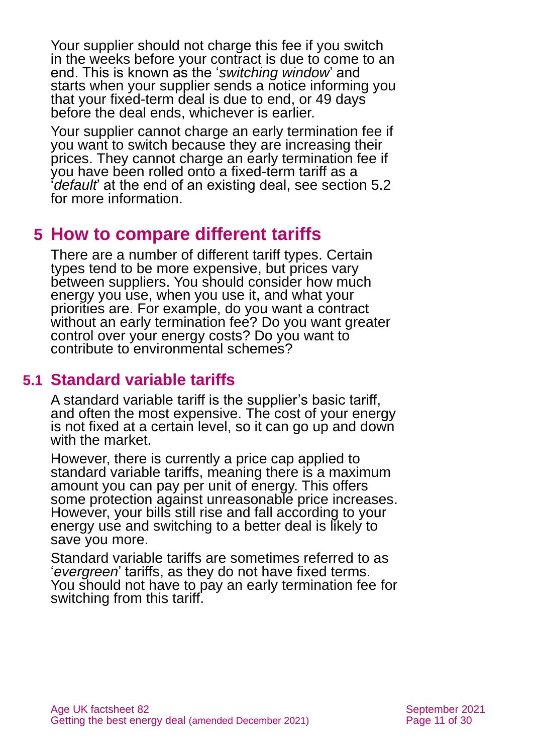Your supplier should not charge this fee if you switch in the weeks before your contract is due to come to an end. This is known as the '*switching window*' and starts when your supplier sends a notice informing you that your fixed-term deal is due to end, or 49 days before the deal ends, whichever is earlier.

Your supplier cannot charge an early termination fee if you want to switch because they are increasing their prices. They cannot charge an early termination fee if you have been rolled onto a fixed-term tariff as a '*default*' at the end of an existing deal, see [section 5.2](#page-11-0) for more information.

# <span id="page-10-0"></span>**5 How to compare different tariffs**

There are a number of different tariff types. Certain types tend to be more expensive, but prices vary between suppliers. You should consider how much energy you use, when you use it, and what your priorities are. For example, do you want a contract without an early termination fee? Do you want greater control over your energy costs? Do you want to contribute to environmental schemes?

### **5.1 Standard variable tariffs**

A standard variable tariff is the supplier's basic tariff, and often the most expensive. The cost of your energy is not fixed at a certain level, so it can go up and down with the market.

However, there is currently a price cap applied to standard variable tariffs, meaning there is a maximum amount you can pay per unit of energy. This offers some protection against unreasonable price increases. However, your bills still rise and fall according to your energy use and switching to a better deal is likely to save you more.

Standard variable tariffs are sometimes referred to as '*evergreen*' tariffs, as they do not have fixed terms. You should not have to pay an early termination fee for switching from this tariff.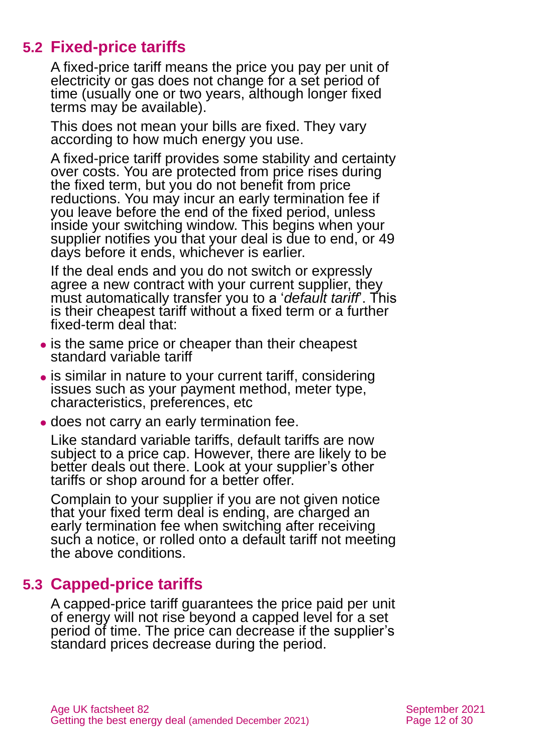# **5.2 Fixed-price tariffs**

<span id="page-11-0"></span>A fixed-price tariff means the price you pay per unit of electricity or gas does not change for a set period of time (usually one or two years, although longer fixed terms may be available).

This does not mean your bills are fixed. They vary according to how much energy you use.

A fixed-price tariff provides some stability and certainty over costs. You are protected from price rises during the fixed term, but you do not benefit from price reductions. You may incur an early termination fee if you leave before the end of the fixed period, unless inside your switching window. This begins when your supplier notifies you that your deal is due to end, or 49 days before it ends, whichever is earlier.

If the deal ends and you do not switch or expressly agree a new contract with your current supplier, they must automatically transfer you to a '*default tariff*'. This is their cheapest tariff without a fixed term or a further fixed-term deal that:

- is the same price or cheaper than their cheapest standard variable tariff
- is similar in nature to your current tariff, considering issues such as your payment method, meter type, characteristics, preferences, etc
- ⚫ does not carry an early termination fee.

Like standard variable tariffs, default tariffs are now subject to a price cap. However, there are likely to be better deals out there. Look at your supplier's other tariffs or shop around for a better offer.

Complain to your supplier if you are not given notice that your fixed term deal is ending, are charged an early termination fee when switching after receiving such a notice, or rolled onto a default tariff not meeting the above conditions.

# **5.3 Capped-price tariffs**

A capped-price tariff guarantees the price paid per unit of energy will not rise beyond a capped level for a set period of time. The price can decrease if the supplier's standard prices decrease during the period.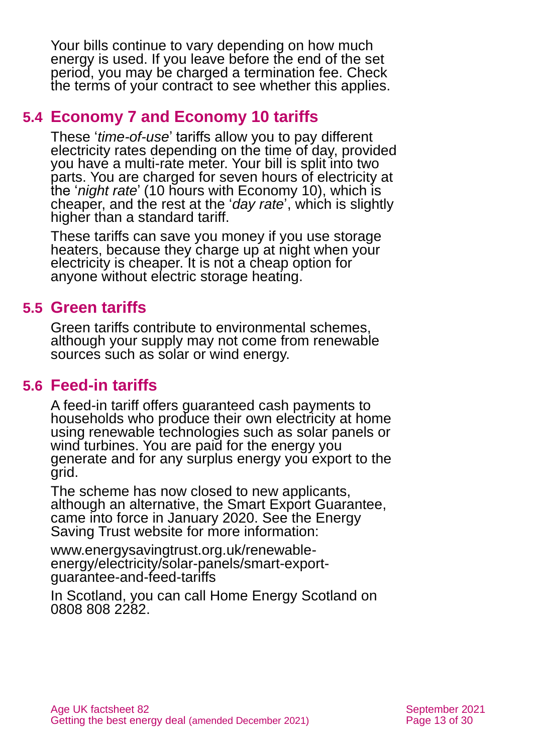Your bills continue to vary depending on how much energy is used. If you leave before the end of the set period, you may be charged a termination fee. Check the terms of your contract to see whether this applies.

### **5.4 Economy 7 and Economy 10 tariffs**

These '*time-of-use*' tariffs allow you to pay different electricity rates depending on the time of day, provided you have a multi-rate meter. Your bill is split into two parts. You are charged for seven hours of electricity at the '*night rate*' (10 hours with Economy 10), which is cheaper, and the rest at the '*day rate*', which is slightly higher than a standard tariff.

These tariffs can save you money if you use storage heaters, because they charge up at night when your electricity is cheaper. It is not a cheap option for anyone without electric storage heating.

## **5.5 Green tariffs**

Green tariffs contribute to environmental schemes, although your supply may not come from renewable sources such as solar or wind energy.

## **5.6 Feed-in tariffs**

A feed-in tariff offers guaranteed cash payments to households who produce their own electricity at home using renewable technologies such as solar panels or wind turbines. You are paid for the energy you generate and for any surplus energy you export to the grid.

The scheme has now closed to new applicants, although an alternative, the Smart Export Guarantee, came into force in January 2020. See the [Energy](http://www.energysavingtrust.org.uk/)  [Saving Trust website](http://www.energysavingtrust.org.uk/) for more information:

[www.energysavingtrust.org.uk/renewable](http://www.energysavingtrust.org.uk/renewable-energy/electricity/solar-panels/smart-export-guarantee-and-feed-tariffs)[energy/electricity/solar-panels/smart-export](http://www.energysavingtrust.org.uk/renewable-energy/electricity/solar-panels/smart-export-guarantee-and-feed-tariffs)[guarantee-and-feed-tariffs](http://www.energysavingtrust.org.uk/renewable-energy/electricity/solar-panels/smart-export-guarantee-and-feed-tariffs)

In Scotland, you can call Home Energy Scotland on 0808 808 2282.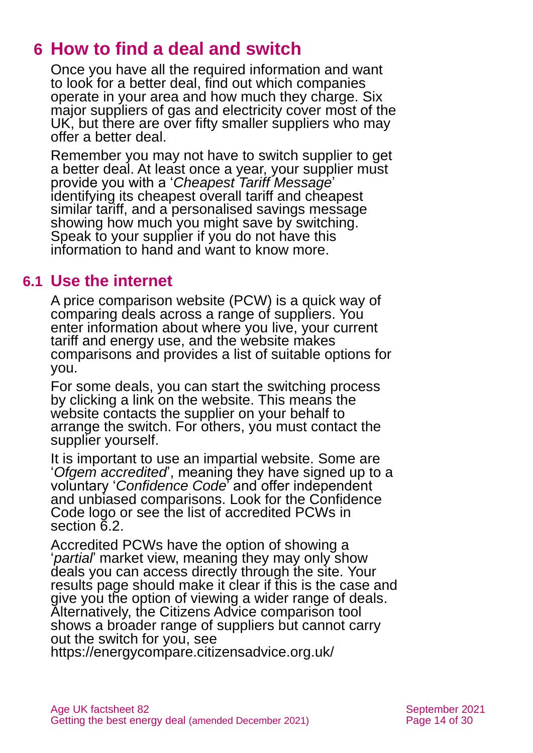# <span id="page-13-0"></span>**6 How to find a deal and switch**

Once you have all the required information and want to look for a better deal, find out which companies operate in your area and how much they charge. Six major suppliers of gas and electricity cover most of the UK, but there are over fifty smaller suppliers who may offer a better deal.

Remember you may not have to switch supplier to get a better deal. At least once a year, your supplier must provide you with a '*Cheapest Tariff Message*' identifying its cheapest overall tariff and cheapest similar tariff, and a personalised savings message showing how much you might save by switching. Speak to your supplier if you do not have this information to hand and want to know more.

### **6.1 Use the internet**

A price comparison website (PCW) is a quick way of comparing deals across a range of suppliers. You enter information about where you live, your current tariff and energy use, and the website makes comparisons and provides a list of suitable options for you.

For some deals, you can start the switching process by clicking a link on the website. This means the website contacts the supplier on your behalf to arrange the switch. For others, you must contact the supplier yourself.

It is important to use an impartial website. Some are '*Ofgem accredited*', meaning they have signed up to a voluntary '*Confidence Code*' and offer independent and unbiased comparisons. Look for the Confidence Code logo or see the list of accredited PCWs in [section 6.2.](#page-14-0)

Accredited PCWs have the option of showing a '*partial*' market view, meaning they may only show deals you can access directly through the site. Your results page should make it clear if this is the case and give you the option of viewing a wider range of deals. Alternatively, the Citizens Advice comparison tool shows a broader range of suppliers but cannot carry out the switch for you, see

<https://energycompare.citizensadvice.org.uk/>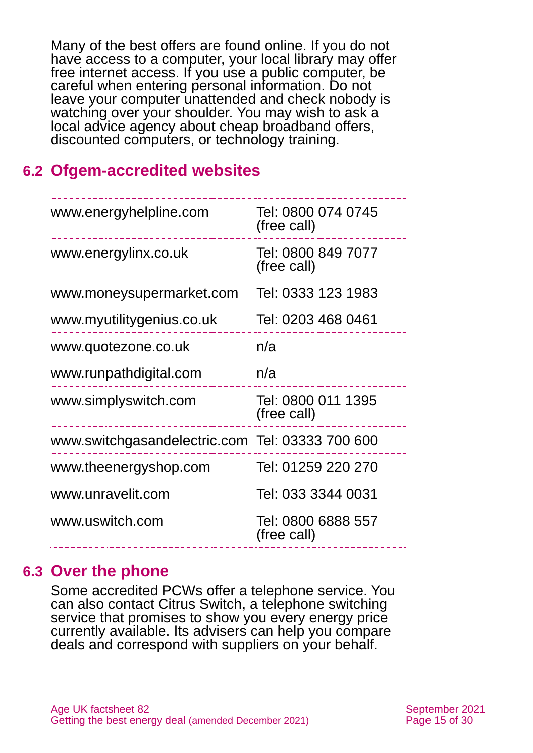Many of the best offers are found online. If you do not have access to a computer, your local library may offer free internet access. If you use a public computer, be careful when entering personal information. Do not leave your computer unattended and check nobody is watching over your shoulder. You may wish to ask a local advice agency about cheap broadband offers, discounted computers, or technology training.

## <span id="page-14-0"></span>**6.2 Ofgem-accredited websites**

| www.energyhelpline.com                          | Tel: 0800 074 0745<br>(free call) |
|-------------------------------------------------|-----------------------------------|
| www.energylinx.co.uk                            | Tel: 0800 849 7077<br>(free call) |
| www.moneysupermarket.com                        | Tel: 0333 123 1983                |
| www.myutilitygenius.co.uk                       | Tel: 0203 468 0461                |
| www.quotezone.co.uk                             | n/a                               |
| www.runpathdigital.com                          | n/a                               |
| www.simplyswitch.com                            | Tel: 0800 011 1395<br>(free call) |
| www.switchgasandelectric.com Tel: 03333 700 600 |                                   |
| www.theenergyshop.com                           | Tel: 01259 220 270                |
| www.unravelit.com                               | Tel: 033 3344 0031                |
| www.uswitch.com                                 | Tel: 0800 6888 557<br>(free call) |

### **6.3 Over the phone**

Some accredited PCWs offer a telephone service. You can also contact [Citrus Switch,](https://www.citrusenergy.co.uk/citrus-switch/) a telephone switching service that promises to show you every energy price currently available. Its advisers can help you compare deals and correspond with suppliers on your behalf.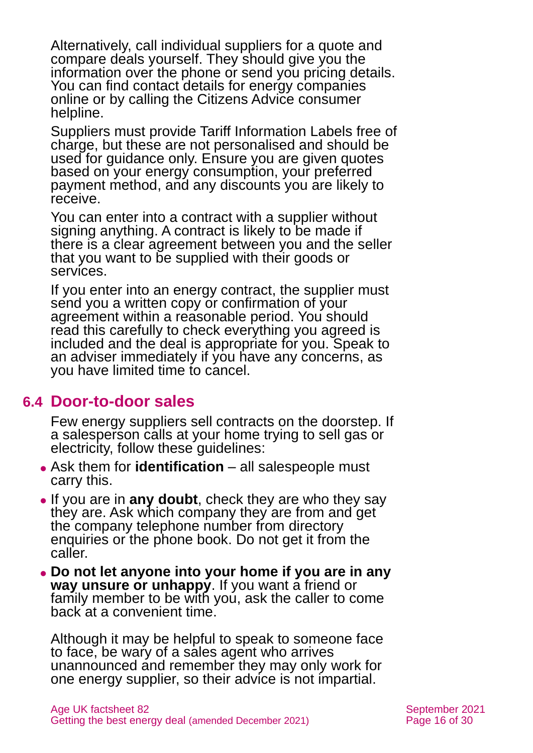Alternatively, call individual suppliers for a quote and compare deals yourself. They should give you the information over the phone or send you pricing details. You can find contact details for energy companies online or by calling the [Citizens Advice consumer](https://www.citizensadvice.org.uk/consumer/get-more-help/if-you-need-more-help-about-a-consumer-issue/)  [helpline.](https://www.citizensadvice.org.uk/consumer/get-more-help/if-you-need-more-help-about-a-consumer-issue/)

Suppliers must provide Tariff Information Labels free of charge, but these are not personalised and should be used for guidance only. Ensure you are given quotes based on your energy consumption, your preferred payment method, and any discounts you are likely to receive.

You can enter into a contract with a supplier without signing anything. A contract is likely to be made if there is a clear agreement between you and the seller that you want to be supplied with their goods or services.

If you enter into an energy contract, the supplier must send you a written copy or confirmation of your agreement within a reasonable period. You should read this carefully to check everything you agreed is included and the deal is appropriate for you. Speak to an adviser immediately if you have any concerns, as you have limited time to cancel.

### **6.4 Door-to-door sales**

Few energy suppliers sell contracts on the doorstep. If a salesperson calls at your home trying to sell gas or electricity, follow these guidelines:

- ⚫ Ask them for **identification** all salespeople must carry this.
- ⚫ If you are in **any doubt**, check they are who they say they are. Ask which company they are from and get the company telephone number from directory enquiries or the phone book. Do not get it from the caller.
- ⚫ **Do not let anyone into your home if you are in any way unsure or unhappy**. If you want a friend or family member to be with you, ask the caller to come back at a convenient time.

Although it may be helpful to speak to someone face to face, be wary of a sales agent who arrives unannounced and remember they may only work for one energy supplier, so their advice is not impartial.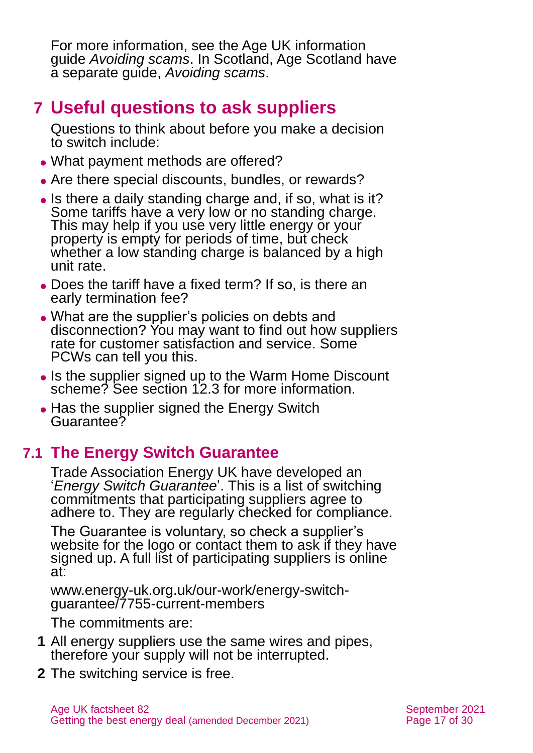For more information, see the Age UK information guide *[Avoiding scams](https://www.ageuk.org.uk/globalassets/age-uk/documents/information-guides/ageukig05_avoiding_scams_inf.pdf?dtrk=true)*. In Scotland, Age Scotland have a separate guide, *[Avoiding scams](https://www.ageuk.org.uk/scotland/information-advice/money-matters/scams/)*.

# <span id="page-16-0"></span>**7 Useful questions to ask suppliers**

Questions to think about before you make a decision to switch include:

- What payment methods are offered?
- Are there special discounts, bundles, or rewards?
- Is there a daily standing charge and, if so, what is it? Some tariffs have a very low or no standing charge. This may help if you use very little energy or your property is empty for periods of time, but check whether a low standing charge is balanced by a high unit rate.
- ⚫ Does the tariff have a fixed term? If so, is there an early termination fee?
- ⚫ What are the supplier's policies on debts and disconnection? You may want to find out how suppliers rate for customer satisfaction and service. Some PCWs can tell you this.
- Is the supplier signed up to the Warm Home Discount scheme? See [section 12.3](#page-22-0) for more information.
- Has the supplier signed the Energy Switch Guarantee?

# **7.1 The Energy Switch Guarantee**

Trade Association Energy UK have developed an '*Energy Switch Guarantee*'. This is a list of switching commitments that participating suppliers agree to adhere to. They are regularly checked for compliance.

The Guarantee is voluntary, so check a supplier's website for the logo or contact them to ask if they have signed up. A full list of participating suppliers is online at:

[www.energy-uk.org.uk/our-work/energy-switch](https://www.energy-uk.org.uk/our-work/energy-switch-guarantee/7755-current-members.html)[guarantee/7755-current-members](https://www.energy-uk.org.uk/our-work/energy-switch-guarantee/7755-current-members.html)

The commitments are:

- **1** All energy suppliers use the same wires and pipes, therefore your supply will not be interrupted.
- **2** The switching service is free.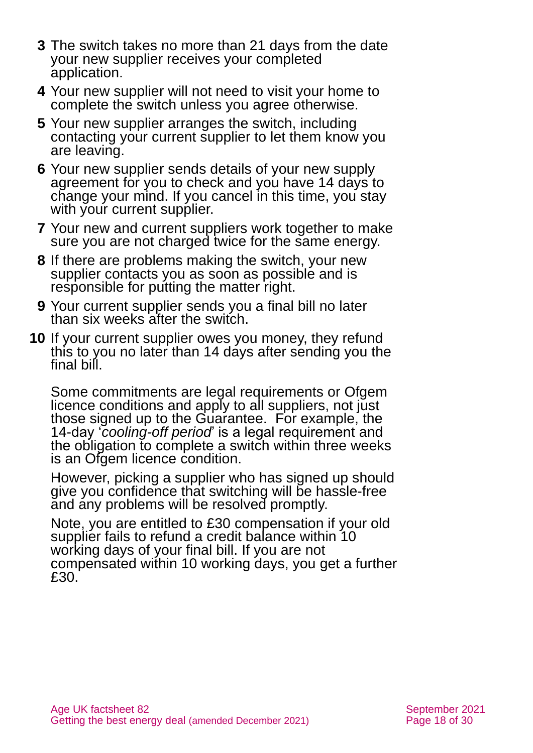- **3** The switch takes no more than 21 days from the date your new supplier receives your completed application.
- **4** Your new supplier will not need to visit your home to complete the switch unless you agree otherwise.
- **5** Your new supplier arranges the switch, including contacting your current supplier to let them know you are leaving.
- **6** Your new supplier sends details of your new supply agreement for you to check and you have 14 days to change your mind. If you cancel in this time, you stay with your current supplier.
- **7** Your new and current suppliers work together to make sure you are not charged twice for the same energy.
- **8** If there are problems making the switch, your new supplier contacts you as soon as possible and is responsible for putting the matter right.
- **9** Your current supplier sends you a final bill no later than six weeks after the switch.
- **10** If your current supplier owes you money, they refund this to you no later than 14 days after sending you the final bill.

Some commitments are legal requirements or Ofgem licence conditions and apply to all suppliers, not just those signed up to the Guarantee. For example, the 14-day '*cooling-off period*' is a legal requirement and the obligation to complete a switch within three weeks is an Ofgem licence condition.

However, picking a supplier who has signed up should give you confidence that switching will be hassle-free and any problems will be resolved promptly.

Note, you are entitled to £30 compensation if your old supplier fails to refund a credit balance within 10 working days of your final bill. If you are not compensated within 10 working days, you get a further £30.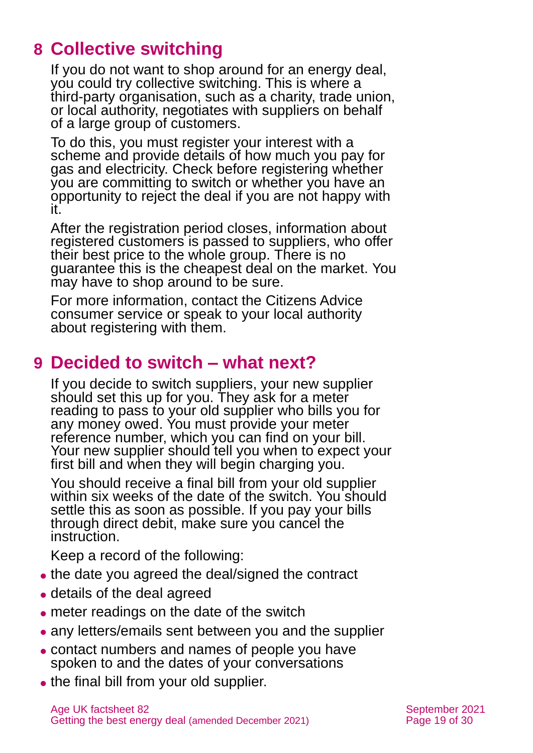# <span id="page-18-0"></span>**8 Collective switching**

If you do not want to shop around for an energy deal, you could try collective switching. This is where a third-party organisation, such as a charity, trade union, or local authority, negotiates with suppliers on behalf of a large group of customers.

To do this, you must register your interest with a scheme and provide details of how much you pay for gas and electricity. Check before registering whether you are committing to switch or whether you have an opportunity to reject the deal if you are not happy with it.

After the registration period closes, information about registered customers is passed to suppliers, who offer their best price to the whole group. There is no guarantee this is the cheapest deal on the market. You may have to shop around to be sure.

For more information, contact the [Citizens Advice](#page-26-0)  [consumer service](#page-26-0) or speak to your local authority about registering with them.

# <span id="page-18-1"></span>**9 Decided to switch – what next?**

If you decide to switch suppliers, your new supplier should set this up for you. They ask for a meter reading to pass to your old supplier who bills you for any money owed. You must provide your meter reference number, which you can find on your bill. Your new supplier should tell you when to expect your first bill and when they will begin charging you.

You should receive a final bill from your old supplier within six weeks of the date of the switch. You should settle this as soon as possible. If you pay your bills through direct debit, make sure you cancel the instruction.

Keep a record of the following:

- the date you agreed the deal/signed the contract
- details of the deal agreed
- ⚫ meter readings on the date of the switch
- any letters/emails sent between you and the supplier
- ⚫ contact numbers and names of people you have spoken to and the dates of your conversations
- ⚫ the final bill from your old supplier.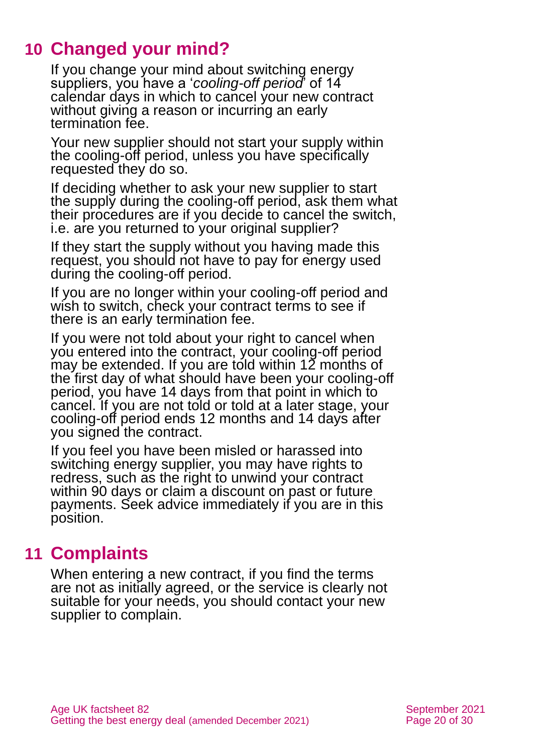# **10 Changed your mind?**

<span id="page-19-0"></span>If you change your mind about switching energy suppliers, you have a '*cooling-off period*' of 14 calendar days in which to cancel your new contract without giving a reason or incurring an early termination fee.

Your new supplier should not start your supply within the cooling-off period, unless you have specifically requested they do so.

If deciding whether to ask your new supplier to start the supply during the cooling-off period, ask them what their procedures are if you decide to cancel the switch, i.e. are you returned to your original supplier?

If they start the supply without you having made this request, you should not have to pay for energy used during the cooling-off period.

If you are no longer within your cooling-off period and wish to switch, check your contract terms to see if there is an early termination fee.

If you were not told about your right to cancel when you entered into the contract, your cooling-off period may be extended. If you are told within  $12$  months of the first day of what should have been your cooling-off period, you have 14 days from that point in which to cancel. If you are not told or told at a later stage, your cooling-off period ends 12 months and 14 days after you signed the contract.

If you feel you have been misled or harassed into switching energy supplier, you may have rights to redress, such as the right to unwind your contract within 90 days or claim a discount on past or future payments. Seek advice immediately if you are in this position.

# <span id="page-19-1"></span>**11 Complaints**

When entering a new contract, if you find the terms are not as initially agreed, or the service is clearly not suitable for your needs, you should contact your new supplier to complain.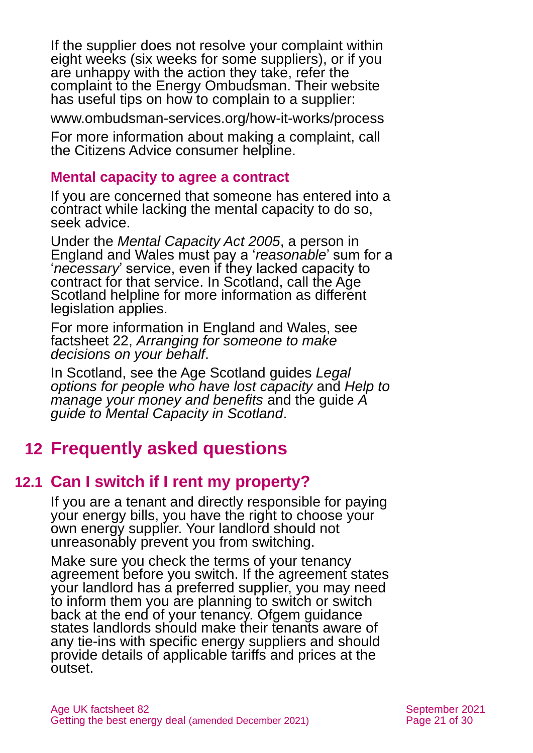If the supplier does not resolve your complaint within eight weeks (six weeks for some suppliers), or if you are unhappy with the action they take, refer the complaint to the Energy Ombudsman. Their website has useful tips on how to complain to a supplier:

[www.ombudsman-services.org/how-it-works/process](http://www.ombudsman-services.org/how-it-works/process)

For more information about making a complaint, call the [Citizens Advice consumer helpline.](https://www.citizensadvice.org.uk/consumer/get-more-help/if-you-need-more-help-about-a-consumer-issue/)

### **Mental capacity to agree a contract**

If you are concerned that someone has entered into a contract while lacking the mental capacity to do so, seek advice.

Under the *Mental Capacity Act 2005*, a person in England and Wales must pay a '*reasonable*' sum for a '*necessary*' service, even if they lacked capacity to contract for that service. In Scotland, call the [Age](#page-28-3)  [Scotland helpline](#page-28-3) for more information as different legislation applies.

For more information in England and Wales, see factsheet 22, *[Arranging for someone to make](https://www.ageuk.org.uk/globalassets/age-uk/documents/factsheets/fs22_arranging_for_someone_to_make_decisions_on_your_behalf_fcs.pdf)  [decisions on your behalf](https://www.ageuk.org.uk/globalassets/age-uk/documents/factsheets/fs22_arranging_for_someone_to_make_decisions_on_your_behalf_fcs.pdf)*.

In Scotland, see the Age Scotland guides *[Legal](https://www.ageuk.org.uk/globalassets/age-scotland/documents/ia---factsheets/legal-and-family/leg-2-legal-options-lost-capacity-august-2020.pdf)  [options for people](https://www.ageuk.org.uk/globalassets/age-scotland/documents/ia---factsheets/legal-and-family/leg-2-legal-options-lost-capacity-august-2020.pdf) who have lost capacity* and *[Help to](https://www.ageuk.org.uk/globalassets/age-scotland/documents/ia---factsheets/legal-and-family/leg-3-help-to-manage-your-money-and-benefits-aug-2020.pdf)  [manage your money and benefits](https://www.ageuk.org.uk/globalassets/age-scotland/documents/ia---factsheets/legal-and-family/leg-3-help-to-manage-your-money-and-benefits-aug-2020.pdf)* and the guide *[A](https://www.ageuk.org.uk/globalassets/age-scotland/documents/ia---factsheets/health-and-wellbeing/hwb-5-a-guide-to-mental-capacity-february-2021.pdf)  [guide to Mental Capacity in Scotland](https://www.ageuk.org.uk/globalassets/age-scotland/documents/ia---factsheets/health-and-wellbeing/hwb-5-a-guide-to-mental-capacity-february-2021.pdf)*.

# <span id="page-20-0"></span>**12 Frequently asked questions**

## **12.1 Can I switch if I rent my property?**

If you are a tenant and directly responsible for paying your energy bills, you have the right to choose your own energy supplier. Your landlord should not unreasonably prevent you from switching.

Make sure you check the terms of your tenancy agreement before you switch. If the agreement states your landlord has a preferred supplier, you may need to inform them you are planning to switch or switch back at the end of your tenancy. Ofgem guidance states landlords should make their tenants aware of any tie-ins with specific energy suppliers and should provide details of applicable tariffs and prices at the outset.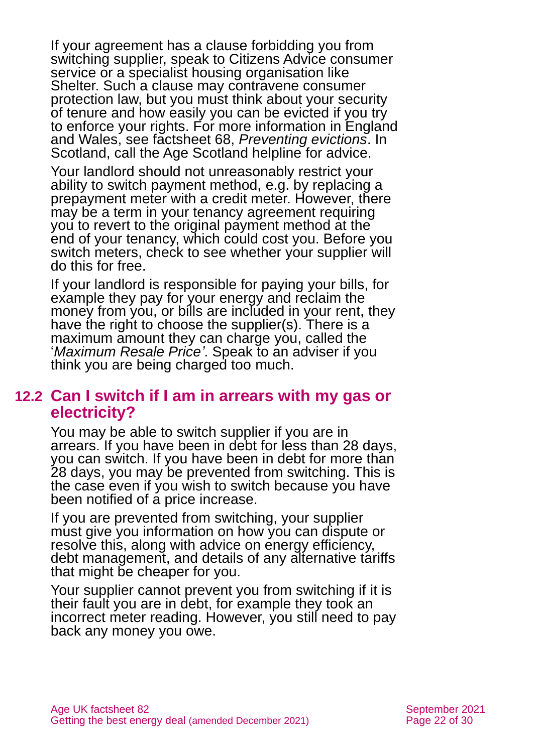If your agreement has a clause forbidding you from switching supplier, speak to [Citizens Advice consumer](#page-26-0)  [service](#page-26-0) or a specialist housing organisation like Shelter. Such a clause may contravene consumer protection law, but you must think about your security of tenure and how easily you can be evicted if you try to enforce your rights. For more information in England and Wales, see factsheet 68, *[Preventing evictions](https://www.ageuk.org.uk/globalassets/age-uk/documents/factsheets/fs68_tenancy_rights_security_of_tenure_fcs.pdf)*. In Scotland, call the Age [Scotland helpline](#page-28-3) for advice.

Your landlord should not unreasonably restrict your ability to switch payment method, e.g. by replacing a prepayment meter with a credit meter. However, there may be a term in your tenancy agreement requiring you to revert to the original payment method at the end of your tenancy, which could cost you. Before you switch meters, check to see whether your supplier will do this for free.

If your landlord is responsible for paying your bills, for example they pay for your energy and reclaim the money from you, or bills are included in your rent, they have the right to choose the supplier(s). There is a maximum amount they can charge you, called the '*Maximum Resale Price'*. Speak to an adviser if you think you are being charged too much.

### **12.2 Can I switch if I am in arrears with my gas or electricity?**

You may be able to switch supplier if you are in arrears. If you have been in debt for less than 28 days, you can switch. If you have been in debt for more than 28 days, you may be prevented from switching. This is the case even if you wish to switch because you have been notified of a price increase.

If you are prevented from switching, your supplier must give you information on how you can dispute or resolve this, along with advice on energy efficiency, debt management, and details of any alternative tariffs that might be cheaper for you.

Your supplier cannot prevent you from switching if it is their fault you are in debt, for example they took an incorrect meter reading. However, you still need to pay back any money you owe.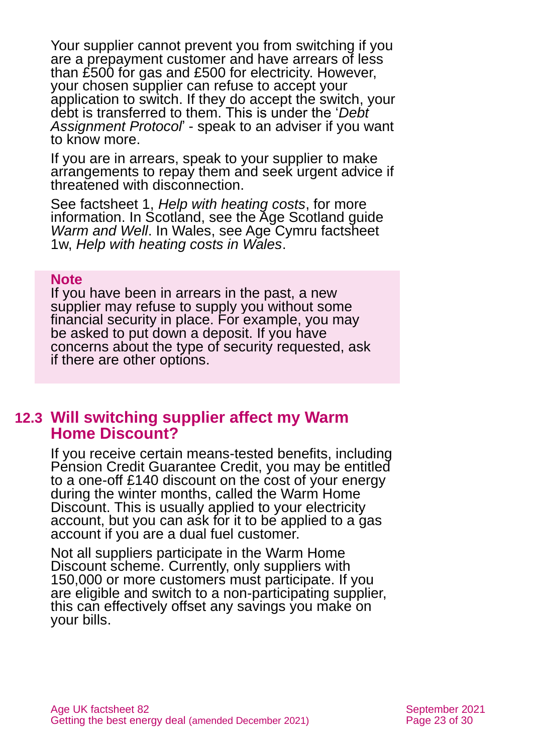Your supplier cannot prevent you from switching if you are a prepayment customer and have arrears of less than £500 for gas and £500 for electricity. However, your chosen supplier can refuse to accept your application to switch. If they do accept the switch, your debt is transferred to them. This is under the '*Debt Assignment Protocol*' - speak to an adviser if you want to know more.

If you are in arrears, speak to your supplier to make arrangements to repay them and seek urgent advice if threatened with disconnection.

See factsheet 1, *[Help with heating costs](https://www.ageuk.org.uk/globalassets/age-uk/documents/factsheets/fs1_help_with_heating_costs_fcs.pdf)*, for more information. In Scotland, see the Age Scotland guide *[Warm and Well](https://www.ageuk.org.uk/scotland/information-advice/housing-and-energy/energy/)*. In Wales, see Age Cymru factsheet 1w, *[Help with heating costs in Wales](https://www.ageuk.org.uk/globalassets/age-cymru/documents/information-guides-and-factsheets/fs1w.pdf)*.

#### **Note**

If you have been in arrears in the past, a new supplier may refuse to supply you without some financial security in place. For example, you may be asked to put down a deposit. If you have concerns about the type of security requested, ask if there are other options.

### <span id="page-22-0"></span>**12.3 Will switching supplier affect my Warm Home Discount?**

If you receive certain means-tested benefits, including Pension Credit Guarantee Credit, you may be entitled to a one-off £140 discount on the cost of your energy during the winter months, called the Warm Home Discount. This is usually applied to your electricity account, but you can ask for it to be applied to a gas account if you are a dual fuel customer.

Not all suppliers participate in the Warm Home Discount scheme. Currently, only suppliers with 150,000 or more customers must participate. If you are eligible and switch to a non-participating supplier, this can effectively offset any savings you make on your bills.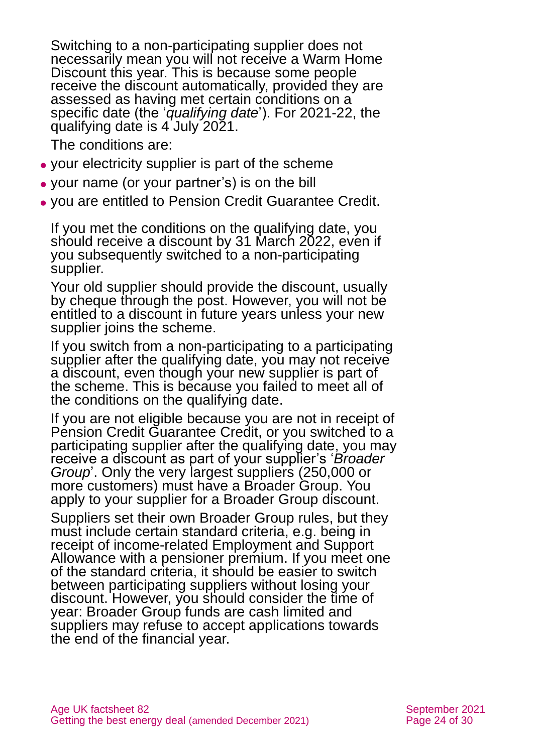Switching to a non-participating supplier does not necessarily mean you will not receive a Warm Home Discount this year. This is because some people receive the discount automatically, provided they are assessed as having met certain conditions on a specific date (the '*qualifying date*'). For 2021-22, the qualifying date is 4 July 2021.

The conditions are:

- ⚫ your electricity supplier is part of the scheme
- ⚫ your name (or your partner's) is on the bill
- ⚫ you are entitled to [Pension Credit](https://www.gov.uk/pension-credit/) Guarantee Credit.

If you met the conditions on the qualifying date, you should receive a discount by 31 March 2022, even if you subsequently switched to a non-participating supplier.

Your old supplier should provide the discount, usually by cheque through the post. However, you will not be entitled to a discount in future years unless your new supplier joins the scheme.

If you switch from a non-participating to a participating supplier after the qualifying date, you may not receive a discount, even though your new supplier is part of the scheme. This is because you failed to meet all of the conditions on the qualifying date.

If you are not eligible because you are not in receipt of Pension Credit Guarantee Credit, or you switched to a participating supplier after the qualifying date, you may receive a discount as part of your supplier's '*Broader Group*'. Only the very largest suppliers (250,000 or more customers) must have a Broader Group. You apply to your supplier for a Broader Group discount.

Suppliers set their own Broader Group rules, but they must include certain standard criteria, e.g. being in receipt of income-related Employment and Support Allowance with a pensioner premium. If you meet one of the standard criteria, it should be easier to switch between participating suppliers without losing your discount. However, you should consider the time of year: Broader Group funds are cash limited and suppliers may refuse to accept applications towards the end of the financial year.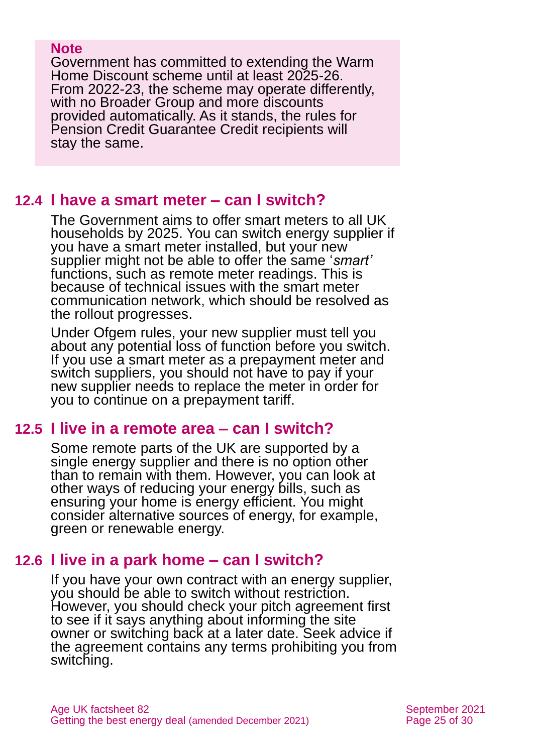#### **Note**

Government has committed to extending the Warm Home Discount scheme until at least 2025-26. From 2022-23, the scheme may operate differently, with no Broader Group and more discounts provided automatically. As it stands, the rules for Pension Credit Guarantee Credit recipients will stay the same.

### **12.4 I have a smart meter – can I switch?**

The Government aims to offer smart meters to all UK households by 2025. You can switch energy supplier if you have a smart meter installed, but your new supplier might not be able to offer the same '*smart'* functions, such as remote meter readings. This is because of technical issues with the smart meter communication network, which should be resolved as the rollout progresses.

Under Ofgem rules, your new supplier must tell you about any potential loss of function before you switch. If you use a smart meter as a prepayment meter and switch suppliers, you should not have to pay if your new supplier needs to replace the meter in order for you to continue on a prepayment tariff.

## **12.5 I live in a remote area – can I switch?**

Some remote parts of the UK are supported by a single energy supplier and there is no option other than to remain with them. However, you can look at other ways of reducing your energy bills, such as ensuring your home is energy efficient. You might consider alternative sources of energy, for example, green or renewable energy.

## **12.6 I live in a park home – can I switch?**

If you have your own contract with an energy supplier, you should be able to switch without restriction. However, you should check your pitch agreement first to see if it says anything about informing the site owner or switching back at a later date. Seek advice if the agreement contains any terms prohibiting you from switching.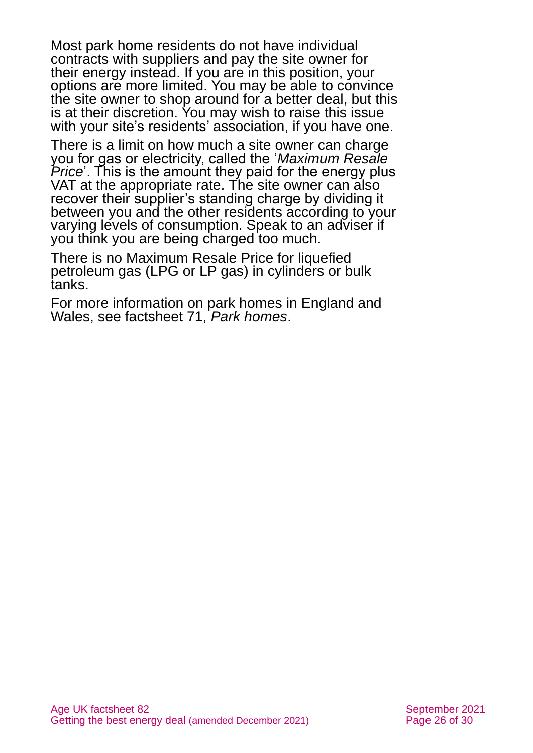Most park home residents do not have individual contracts with suppliers and pay the site owner for their energy instead. If you are in this position, your options are more limited. You may be able to convince the site owner to shop around for a better deal, but this is at their discretion. You may wish to raise this issue with your site's residents' association, if you have one.

There is a limit on how much a site owner can charge you for gas or electricity, called the '*Maximum Resale Price*'. This is the amount they paid for the energy plus VAT at the appropriate rate. The site owner can also recover their supplier's standing charge by dividing it between you and the other residents according to your varying levels of consumption. Speak to an adviser if you think you are being charged too much.

There is no Maximum Resale Price for liquefied petroleum gas (LPG or LP gas) in cylinders or bulk tanks.

For more information on park homes in England and Wales, see factsheet 71, *[Park homes](https://www.ageuk.org.uk/globalassets/age-uk/documents/factsheets/fs71_park_homes_fcs.pdf)*.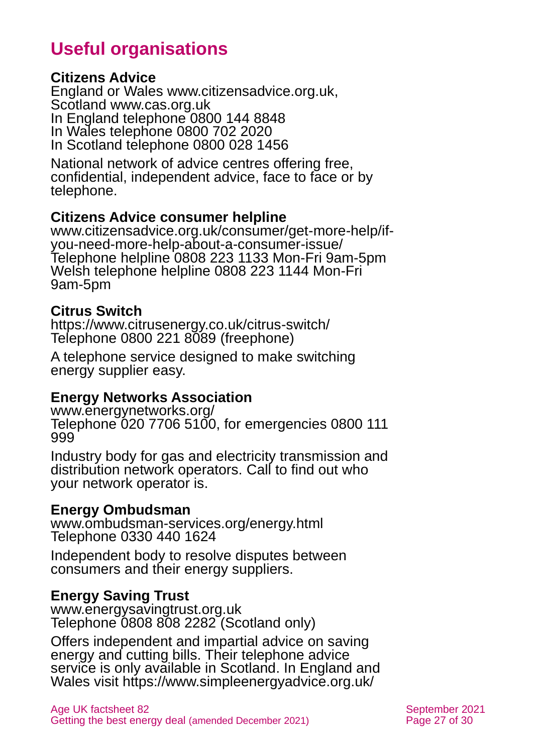# **Useful organisations**

#### <span id="page-26-0"></span>**Citizens Advice**

England or Wales [www.citizensadvice.org.uk,](http://www.citizensadvice.org.uk/) Scotland [www.cas.org.uk](http://www.cas.org.uk/) In England telephone 0800 144 8848 In Wales telephone 0800 702 2020 In Scotland telephone 0800 028 1456

National network of advice centres offering free, confidential, independent advice, face to face or by telephone.

### **Citizens Advice consumer helpline**

[www.citizensadvice.org.uk/consumer/get-more-help/if](http://www.citizensadvice.org.uk/consumer/get-more-help/if-you-need-more-help-about-a-consumer-issue/)[you-need-more-help-about-a-consumer-issue/](http://www.citizensadvice.org.uk/consumer/get-more-help/if-you-need-more-help-about-a-consumer-issue/) Telephone helpline 0808 223 1133 Mon-Fri 9am-5pm Welsh telephone helpline 0808 223 1144 Mon-Fri 9am-5pm

### **Citrus Switch**

<https://www.citrusenergy.co.uk/citrus-switch/> Telephone 0800 221 8089 (freephone)

A telephone service designed to make switching energy supplier easy.

### **Energy Networks Association**

[www.energynetworks.org/](http://www.energynetworks.org/) Telephone 020 7706 5100, for emergencies 0800 111 999

Industry body for gas and electricity transmission and distribution network operators. Call to find out who your network operator is.

#### **Energy Ombudsman**

[www.ombudsman-services.org/energy.html](http://www.ombudsman-services.org/energy.html) Telephone 0330 440 1624

Independent body to resolve disputes between consumers and their energy suppliers.

### **Energy Saving Trust**

[www.energysavingtrust.org.uk](http://www.energysavingtrust.org.uk/) Telephone 0808 808 2282 (Scotland only)

Offers independent and impartial advice on saving energy and cutting bills. Their telephone advice service is only available in Scotland. In England and Wales visit<https://www.simpleenergyadvice.org.uk/>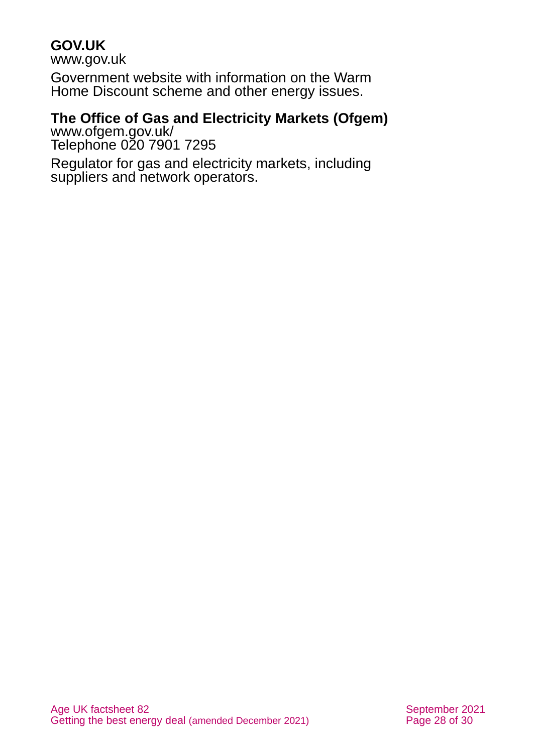### **GOV.UK**

[www.gov.uk](http://www.gov.uk/)

Government website with information on the Warm Home Discount scheme and other energy issues.

### **The Office of Gas and Electricity Markets (Ofgem)**

[www.ofgem.gov.uk/](http://www.ofgem.gov.uk/) Telephone 020 7901 7295

Regulator for gas and electricity markets, including suppliers and network operators.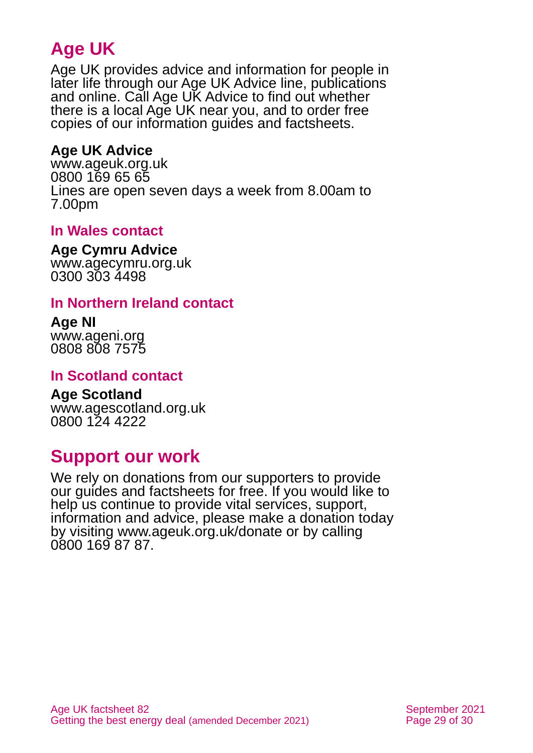# **Age UK**

Age UK provides advice and information for people in later life through our Age UK Advice line, publications and online. Call Age UK Advice to find out whether there is a local Age UK near you, and to order free copies of our information guides and factsheets.

### <span id="page-28-1"></span>**Age UK Advice**

[www.ageuk.org.uk](http://www.ageuk.org.uk/) 0800 169 65 65 Lines are open seven days a week from 8.00am to 7.00pm

### **In Wales contact**

#### **Age Cymru Advice**

[www.agecymru.org.uk](http://www.agecymru.org.uk/) 0300 303 4498

### <span id="page-28-0"></span>**In Northern Ireland contact**

# **Age NI**

[www.ageni.org](http://www.ageni.org/) 0808 808 7575

### <span id="page-28-3"></span>**In Scotland contact**

#### <span id="page-28-2"></span>**Age Scotland** [www.agescotland.org.uk](http://www.agescotland.org.uk/)

0800 124 4222

# **Support our work**

We rely on donations from our supporters to provide our guides and factsheets for free. If you would like to help us continue to provide vital services, support, information and advice, please make a donation today by visiting [www.ageuk.org.uk/donate](http://www.ageuk.org.uk/donate) or by calling 0800 169 87 87.